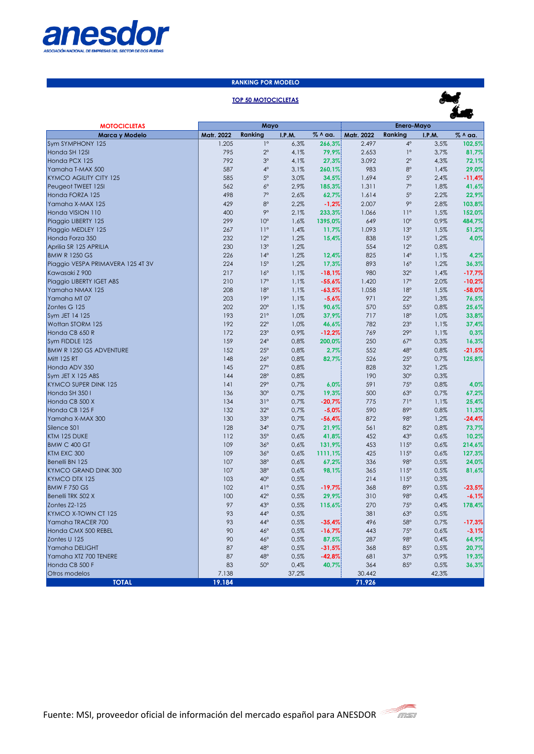

### **RANKING POR MODELO**

# **TOP 50 MOTOCICLETAS**



| <b>MOTOCICLETAS</b>                           | Mayo       |                          |               | Enero-Mayo        |            |                          |               |               |
|-----------------------------------------------|------------|--------------------------|---------------|-------------------|------------|--------------------------|---------------|---------------|
| Marca y Modelo                                | Matr. 2022 | Ranking                  | <b>I.P.M.</b> | % ^ aa.           | Matr. 2022 | Ranking                  | <b>I.P.M.</b> | % ^ aa.       |
| Sym SYMPHONY 125                              | 1.205      | $1^{\circ}$              | 6,3%          | 266,3%            | 2.497      | $4^\circ$                | 3,5%          | 102,5%        |
| Honda SH 1251                                 | 795        | $2^{\circ}$              | 4,1%          | 79,9%             | 2.653      | $1^{\circ}$              | 3,7%          | 81,7%         |
| Honda PCX 125                                 | 792        | $3^{\circ}$              | 4,1%          | 27,3%             | 3.092      | $2^{\circ}$              | 4,3%          | 72,1%         |
| Yamaha T-MAX 500                              | 587        | $4^\circ$                | 3.1%          | 260,1%            | 983        | $8^{\circ}$              | 1,4%          | 29,0%         |
| <b>KYMCO AGILITY CITY 125</b>                 | 585        | $5^{\circ}$              | 3,0%          | 34,5%             | 1.694      | $5^{\circ}$              | 2,4%          | $-11,4%$      |
| Peugeot TWEET 125I                            | 562        | $6^{\circ}$              | 2,9%          | 185,3%            | 1.311      | $7^\circ$                | 1,8%          | 41,6%         |
| Honda FORZA 125                               | 498        | $7^\circ$                | 2,6%          | 62,7%             | 1.614      | $5^\circ$                | 2,2%          | 22,9%         |
| Yamaha X-MAX 125                              | 429        | $8^{\circ}$              | 2,2%          | $-1,2%$           | 2.007      | 90                       | 2,8%          | 103,8%        |
| Honda VISION 110                              | 400        | 90                       | 2,1%          | 233,3%            | 1.066      | $11^{\circ}$             | 1,5%          | 152,0%        |
| Piaggio LIBERTY 125                           | 299        | 10 <sup>o</sup>          | 1,6%          | 1395,0%           | 649        | 10 <sup>o</sup>          | 0,9%          | 484,7%        |
| Piaggio MEDLEY 125                            | 267        | $11^{\circ}$             | 1,4%          | 11,7%             | 1.093      | 13 <sup>°</sup>          | 1,5%          | 51,2%         |
| Honda Forza 350                               | 232        | $12^{\circ}$             | 1,2%          | 15,4%             | 838        | 15 <sup>o</sup>          | 1,2%          | 4,0%          |
| Aprilia SR 125 APRILIA                        | 230        | 13°                      | 1,2%          |                   | 554        | $12^{\circ}$             | 0,8%          |               |
| <b>BMW R 1250 GS</b>                          | 226        | $14^{\circ}$             | 1,2%          | 12,4%             | 825        | $14^{\circ}$             | 1,1%          | 4,2%          |
| Piaggio VESPA PRIMAVERA 125 4T 3V             | 224        | 15°                      | 1,2%          | 17,3%             | 893        | $16^{\circ}$             | 1,2%          | 36,3%         |
| Kawasaki Z 900                                | 217        | $16^{\circ}$             | 1,1%          | $-18.1%$          | 980        | $32^\circ$               | 1,4%          | $-17,7%$      |
| Piaggio LIBERTY IGET ABS                      | 210        | $17^\circ$               | 1,1%          | $-55,6%$          | 1.420      | $17^\circ$               | 2,0%          | $-10,2%$      |
| Yamaha NMAX 125                               | 208        | 18°                      | 1.1%          | $-63,5%$          | 1.058      | 18°                      | 1,5%          | $-58.0%$      |
| Yamaha MT07                                   | 203        | 19°                      | 1,1%          | $-5,6%$           | 971        | $22^{\circ}$             | 1,3%          | 76,5%         |
| Zontes G 125                                  | 202        | $20^{\circ}$             | 1,1%          | 90,6%             | 570        | $55^\circ$               | 0,8%          | 25,6%         |
| Sym JET 14 125                                | 193        | 21°                      | 1,0%          | 37,9%             | 717        | 18°                      | 1,0%          | 33,8%         |
| Wottan STORM 125                              | 192        | $22^{\circ}$             | 1,0%          |                   | 782        | $23^\circ$               | 1,1%          |               |
| Honda CB 650 R                                | 172        | $23^\circ$               | 0,9%          | 46,6%<br>$-12,2%$ | 769        | $29^\circ$               | 1,1%          | 37,4%<br>0,3% |
|                                               |            | $24^\circ$               |               |                   |            |                          |               |               |
| Sym FIDDLE 125                                | 159        | $25^\circ$               | 0,8%          | 200,0%            | 250        | $67^\circ$               | 0,3%          | 16,3%         |
| <b>BMW R 1250 GS ADVENTURE</b><br>Mitt 125 RT | 152<br>148 | $26^\circ$               | 0,8%<br>0,8%  | 2,7%              | 552<br>526 | $48^\circ$<br>$25^\circ$ | 0,8%<br>0.7%  | $-21,5%$      |
|                                               | 145        | $27^\circ$               |               | 82,7%             | 828        | $32^\circ$               |               | 125,8%        |
| Honda ADV 350                                 |            |                          | 0,8%          |                   | 190        |                          | 1,2%          |               |
| Sym JET X 125 ABS                             | 144        | $28^\circ$<br>$29^\circ$ | 0,8%          |                   |            | $30^\circ$               | 0,3%          |               |
| <b>KYMCO SUPER DINK 125</b>                   | 4          |                          | 0,7%          | 6,0%              | 591        | 75°                      | 0,8%          | 4,0%          |
| Honda SH 350 I                                | 136        | $30^\circ$               | 0.7%          | 19,3%             | 500        | $63^\circ$               | 0,7%          | 67,2%         |
| Honda CB 500 X                                | 134        | 31°                      | 0,7%          | $-20,7%$          | 775        | 71°                      | 1,1%          | 25,4%         |
| Honda CB 125 F                                | 132        | $32^\circ$               | 0.7%          | $-5.0%$           | 590        | 89°                      | 0,8%          | 11,3%         |
| Yamaha X-MAX 300                              | 130        | 33°                      | 0,7%          | $-56,4%$          | 872        | 98°                      | 1,2%          | $-24,4%$      |
| Silence S01                                   | 128        | $34^\circ$               | 0,7%          | 21,9%             | 561        | $82^\circ$               | 0,8%          | 73,7%         |
| KTM 125 DUKE                                  | 112        | $35^\circ$               | 0,6%          | 41,8%             | 452        | $43^\circ$               | 0,6%          | 10,2%         |
| BMW C 400 GT                                  | 109        | $36^\circ$               | 0,6%          | 131,9%            | 453        | $115^\circ$              | 0,6%          | 214,6%        |
| KTM EXC 300                                   | 109        | $36^\circ$               | 0,6%          | 1111,1%           | 425        | $115^\circ$              | 0,6%          | 127,3%        |
| Benelli BN 125                                | 107        | 38°                      | 0.6%          | 67,2%             | 336        | 98°                      | 0,5%          | 24,0%         |
| <b>KYMCO GRAND DINK 300</b>                   | 107        | $38^\circ$               | 0,6%          | 98,1%             | 365        | $115^\circ$              | 0,5%          | 81,6%         |
| KYMCO DTX 125                                 | 103        | $40^\circ$               | 0.5%          |                   | 214        | $115^\circ$              | 0,3%          |               |
| BMW F 750 GS                                  | 102        | 41°                      | 0,5%          | $-19,7%$          | 368        | $89^\circ$               | 0,5%          | $-23,5%$      |
| Benelli TRK 502 X                             | 100        | $42^{\circ}$             | 0,5%          | 29,9%             | 310        | 98°                      | 0,4%          | $-6,1%$       |
| Zontes Z2-125                                 | 97         | $43^\circ$               | 0,5%          | 115,6%            | 270        | 75°                      | 0,4%          | 178,4%        |
| KYMCO X-TOWN CT 125                           | 93         | 44°                      | 0,5%          |                   | 381        | $63^\circ$               | 0,5%          |               |
| Yamaha TRACER 700                             | 93         | $44^\circ$               | 0,5%          | $-35,4%$          | 496        | $58^\circ$               | 0,7%          | $-17,3%$      |
| Honda CMX 500 REBEL                           | 90         | $46^\circ$               | 0.5%          | $-16,7%$          | 443        | 75°                      | 0.6%          | $-3,1%$       |
| Zontes U 125                                  | 90         | $46^\circ$               | 0,5%          | 87,5%             | 287        | 98°                      | 0,4%          | 64,9%         |
| Yamaha DELIGHT                                | 87         | $48^\circ$               | 0,5%          | $-31,5%$          | 368        | $85^\circ$               | 0,5%          | 20,7%         |
| Yamaha XTZ 700 TENERE                         | 87         | $48^\circ$               | 0,5%          | $-42,8%$          | 681        | $37^\circ$               | 0,9%          | 19,3%         |
| Honda CB 500 F                                | 83         | $50^\circ$               | 0,4%          | 40,7%             | 364        | $85^\circ$               | 0,5%          | 36,3%         |
| Otros modelos                                 | 7.138      |                          | 37,2%         |                   | 30.442     |                          | 42,3%         |               |
| <b>TOTAL</b>                                  | 19.184     |                          |               |                   | 71.926     |                          |               |               |

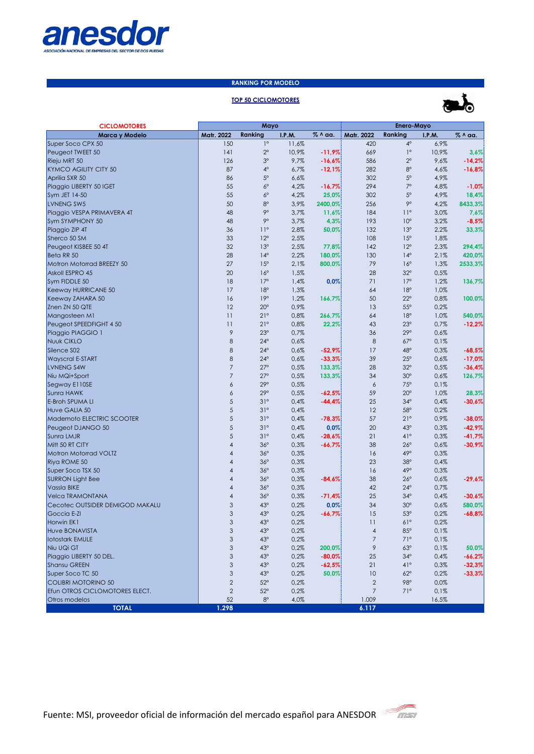

# **RANKING POR MODELO**

## **TOP 50 CICLOMOTORES**



| <b>CICLOMOTORES</b>                    | Mayo                      |                          |               | Enero-Mayo |                          |                   |               |          |
|----------------------------------------|---------------------------|--------------------------|---------------|------------|--------------------------|-------------------|---------------|----------|
| Marca y Modelo                         | Matr. 2022                | Ranking                  | <b>I.P.M.</b> | % ^ aa.    | Matr. 2022               | Ranking           | <b>I.P.M.</b> | % ^ aa.  |
| Super Soco CPX 50                      | 150                       | $1^{\circ}$              | 11,6%         |            | 420                      | $4^\circ$         | 6,9%          |          |
| Peugeot TWEET 50                       | 4                         | $2^{\circ}$              | 10,9%         | $-11,9%$   | 669                      | $1^{\circ}$       | 10,9%         | 3,6%     |
| Rieju MRT 50                           | 126                       | 3 <sup>o</sup>           | 9,7%          | $-16,6%$   | 586                      | $2^{\circ}$       | 9,6%          | $-14,2%$ |
| <b>KYMCO AGILITY CITY 50</b>           | 87                        | $4^\circ$                | 6,7%          | $-12,1%$   | 282                      | $8^{\circ}$       | 4,6%          | $-16,8%$ |
| Aprilia SXR 50                         | 86                        | $5^{\circ}$              | 6,6%          |            | 302                      | $5^{\circ}$       | 4,9%          |          |
| Piaggio LIBERTY 50 IGET                | 55                        | $6^{\circ}$              | 4,2%          | $-16,7%$   | 294                      | $7^\circ$         | 4,8%          | $-1,0%$  |
| Sym JET 14-50                          | 55                        | $6^{\circ}$              | 4,2%          | 25,0%      | 302                      | $5^{\circ}$       | 4,9%          | 18,4%    |
| LVNENG SW5                             | 50                        | $8^{\circ}$              | 3,9%          | 2400,0%    | 256                      | 90                | 4,2%          | 8433,3%  |
| Piaggio VESPA PRIMAVERA 4T             | 48                        | 90                       | 3,7%          | 11,6%      | 184                      | $11^{\circ}$      | 3,0%          | 7,6%     |
| Sym SYMPHONY 50                        | 48                        | 90                       | 3,7%          | 4,3%       | 193                      | 10 <sup>o</sup>   | 3,2%          | $-8,5%$  |
| Piaggio ZIP 4T                         | 36                        | $11^{\circ}$             | 2,8%          | 50,0%      | 132                      | 13°               | 2,2%          | 33,3%    |
| Sherco 50 SM                           | 33                        | $12^{\circ}$             | 2,5%          |            | 108                      | 15 <sup>o</sup>   | 1,8%          |          |
| Peugeot KISBEE 50 4T                   | 32                        | 13°                      | 2,5%          | 77,8%      | 142                      | $12^{\circ}$      | 2,3%          | 294,4%   |
| Beta RR 50                             | 28                        | $14^{\circ}$             | 2,2%          | 180,0%     | 130                      | $14^{\circ}$      | 2,1%          | 420,0%   |
| Motron Motorrad BREEZY 50              | 27                        | 15°                      | 2,1%          | 800,0%     | 79                       | $16^{\circ}$      | 1,3%          | 2533,3%  |
| Askoll ESPRO 45                        | 20                        | $16^{\circ}$             | 1,5%          |            | 28                       | $32^\circ$        | 0,5%          |          |
| Sym FIDDLE 50                          | 18                        | $17^{\circ}$             | 1,4%          | 0,0%       | 71                       | $17^{\circ}$      | 1,2%          | 136,7%   |
| Keeway HURRICANE 50                    | 17                        | 18°                      | 1,3%          |            | 64                       | 18°               | 1,0%          |          |
| Keeway ZAHARA 50                       | 16                        | 19°                      | 1,2%          | 166,7%     | 50                       | $22^{\circ}$      | 0,8%          | 100,0%   |
| Znen ZN 50 QTE                         | 12                        | $20^{\circ}$             | 0,9%          |            | 13                       | $55^{\circ}$      | 0,2%          |          |
| Mangosteen M1                          | 11                        | 21°                      | 0,8%          | 266,7%     | 64                       | 18°               | 1,0%          | 540,0%   |
| Peugeot SPEEDFIGHT 4 50                | 11                        | 21°                      | 0,8%          | 22,2%      | 43                       | 23°               | 0,7%          | $-12,2%$ |
| Piaggio PIAGGIO 1                      | $\mathcal{P}$             | 23°                      | 0,7%          |            | 36                       | $29^\circ$        | 0,6%          |          |
| Nuuk CIKLO                             | 8                         | $24^{\circ}$             | 0,6%          |            | 8                        | $67^\circ$        | 0,1%          |          |
| Silence S02                            | 8                         | $24^{\circ}$             | 0,6%          | $-52,9%$   | 17                       | $48^\circ$        | 0,3%          | $-68,5%$ |
| <b>Wayscral E-START</b>                | 8                         | $24^{\circ}$             | 0,6%          | $-33,3%$   | 39                       | $25^{\circ}$      | 0,6%          | $-17,0%$ |
| LVNENG S4W                             | $\overline{7}$            | $27^\circ$               | 0,5%          | 133,3%     | 28                       | $32^\circ$        | 0,5%          | $-36,4%$ |
| Niu MQi+Sport                          | $\overline{7}$            | $27^\circ$               | 0,5%          | 133,3%     | 34                       | 30 <sup>o</sup>   | 0,6%          | 126,7%   |
| Segway E110SE                          | 6                         | $29^\circ$               | 0,5%          |            | 6                        | 75°               | 0,1%          |          |
| Sunra HAWK                             | 6                         | $29^\circ$               | 0,5%          | $-62,5%$   | 59                       | $20^{\circ}$      | 1,0%          | 28,3%    |
| <b>E-Broh SPUMA LI</b>                 | 5                         | 31°                      | 0,4%          | $-44,4%$   | 25                       | $34^\circ$        | 0,4%          | $-30,6%$ |
| Huve GALIA 50                          | 5                         | 31°                      | 0,4%          |            | 12                       | $58^\circ$        | 0,2%          |          |
| Mademoto ELECTRIC SCOOTER              | 5<br>5                    | 31°                      | 0,4%          | $-78,3%$   | 57                       | 21°               | 0,9%          | $-38,0%$ |
| Peugeot DJANGO 50                      | 5                         | 31°<br>31°               | 0,4%          | 0,0%       | 20                       | $43^\circ$<br>41° | 0,3%          | $-42,9%$ |
| Sunra LMJR                             |                           |                          | 0,4%          | $-28,6%$   | 21                       |                   | 0,3%          | $-41,7%$ |
| Mitt 50 RT CITY                        | 4                         | $36^\circ$<br>$36^\circ$ | 0,3%          | $-66,7%$   | 38                       | $26^\circ$<br>49° | 0,6%          | $-30,9%$ |
| Motron Motorrad VOLTZ<br>Riya ROME 50  | 4<br>4                    | $36^\circ$               | 0,3%<br>0,3%  |            | 16<br>23                 | 38°               | 0,3%<br>0,4%  |          |
|                                        | 4                         | $36^\circ$               |               |            |                          | $49^\circ$        |               |          |
| Super Soco TSX 50                      | $\overline{4}$            | $36^\circ$               | 0,3%<br>0,3%  |            | 16<br>38                 | $26^\circ$        | 0,3%<br>0,6%  |          |
| <b>SURRON Light Bee</b><br>Vassla BIKE | 4                         | $36^\circ$               | 0,3%          | $-84,6%$   | 42                       | $24^{\circ}$      | 0,7%          | $-29,6%$ |
| Velca TRAMONTANA                       | $\overline{4}$            | $36^\circ$               | 0,3%          | $-71,4%$   | 25                       | $34^\circ$        | 0,4%          | $-30,6%$ |
| Cecotec OUTSIDER DEMIGOD MAKALU        | 3                         | $43^\circ$               | 0,2%          | 0,0%       | 34                       | 30 <sup>o</sup>   | 0,6%          | 580,0%   |
| Goccia E-ZI                            | 3                         | $43^\circ$               | 0,2%          | $-66,7%$   | 15                       | 53°               | 0,2%          | $-68,8%$ |
| Horwin EK1                             | 3                         | $43^\circ$               | 0,2%          |            | П                        | $61^\circ$        | 0,2%          |          |
| Huve BONAVISTA                         | $\ensuremath{\mathsf{3}}$ | $43^\circ$               | 0,2%          |            | $\overline{\mathcal{A}}$ | $85^\circ$        | 0,1%          |          |
| <b>Iotostark EMULE</b>                 | $\ensuremath{\mathsf{3}}$ | $43^\circ$               | 0,2%          |            | 7                        | 71°               | 0,1%          |          |
| Niu UQi GT                             | $\ensuremath{\mathsf{3}}$ | $43^\circ$               | 0,2%          | 200,0%     | 9                        | $63^\circ$        | 0,1%          | 50,0%    |
| Piaggio LIBERTY 50 DEL.                | $\ensuremath{\mathsf{3}}$ | $43^\circ$               | 0,2%          | $-80,0%$   | 25                       | $34^\circ$        | 0,4%          | $-66,2%$ |
| Shansu GREEN                           | $\ensuremath{\mathsf{3}}$ | $43^\circ$               | 0,2%          | $-62,5%$   | 21                       | $41^{\circ}$      | 0,3%          | $-32,3%$ |
| Super Soco TC 50                       | $\mathsf 3$               | $43^\circ$               | 0,2%          | 50,0%      | 10                       | $62^\circ$        | 0,2%          | $-33,3%$ |
| COLIBRI MOTORINO 50                    | $\mathbf{2}$              | $52^\circ$               | 0,2%          |            | $\mathbf{2}$             | 98°               | 0.0%          |          |
| Efun OTROS CICLOMOTORES ELECT.         | $\mathbf{2}$              | $52^\circ$               | 0,2%          |            | $\overline{7}$           | 71°               | 0,1%          |          |
| Otros modelos                          | 52                        | $8^{\circ}$              | 4,0%          |            | 1.009                    |                   | 16,5%         |          |
| <b>TOTAL</b>                           | 1.298                     |                          |               |            | 6.117                    |                   |               |          |